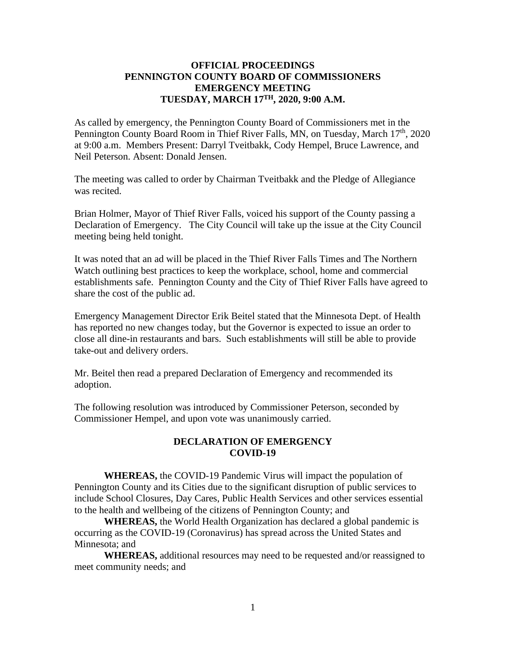## **OFFICIAL PROCEEDINGS PENNINGTON COUNTY BOARD OF COMMISSIONERS EMERGENCY MEETING TUESDAY, MARCH 17 TH, 2020, 9:00 A.M.**

As called by emergency, the Pennington County Board of Commissioners met in the Pennington County Board Room in Thief River Falls, MN, on Tuesday, March 17<sup>th</sup>, 2020 at 9:00 a.m. Members Present: Darryl Tveitbakk, Cody Hempel, Bruce Lawrence, and Neil Peterson. Absent: Donald Jensen.

The meeting was called to order by Chairman Tveitbakk and the Pledge of Allegiance was recited.

Brian Holmer, Mayor of Thief River Falls, voiced his support of the County passing a Declaration of Emergency. The City Council will take up the issue at the City Council meeting being held tonight.

It was noted that an ad will be placed in the Thief River Falls Times and The Northern Watch outlining best practices to keep the workplace, school, home and commercial establishments safe. Pennington County and the City of Thief River Falls have agreed to share the cost of the public ad.

Emergency Management Director Erik Beitel stated that the Minnesota Dept. of Health has reported no new changes today, but the Governor is expected to issue an order to close all dine-in restaurants and bars. Such establishments will still be able to provide take-out and delivery orders.

Mr. Beitel then read a prepared Declaration of Emergency and recommended its adoption.

The following resolution was introduced by Commissioner Peterson, seconded by Commissioner Hempel, and upon vote was unanimously carried.

## **DECLARATION OF EMERGENCY COVID-19**

**WHEREAS,** the COVID-19 Pandemic Virus will impact the population of Pennington County and its Cities due to the significant disruption of public services to include School Closures, Day Cares, Public Health Services and other services essential to the health and wellbeing of the citizens of Pennington County; and

**WHEREAS,** the World Health Organization has declared a global pandemic is occurring as the COVID-19 (Coronavirus) has spread across the United States and Minnesota; and

**WHEREAS,** additional resources may need to be requested and/or reassigned to meet community needs; and